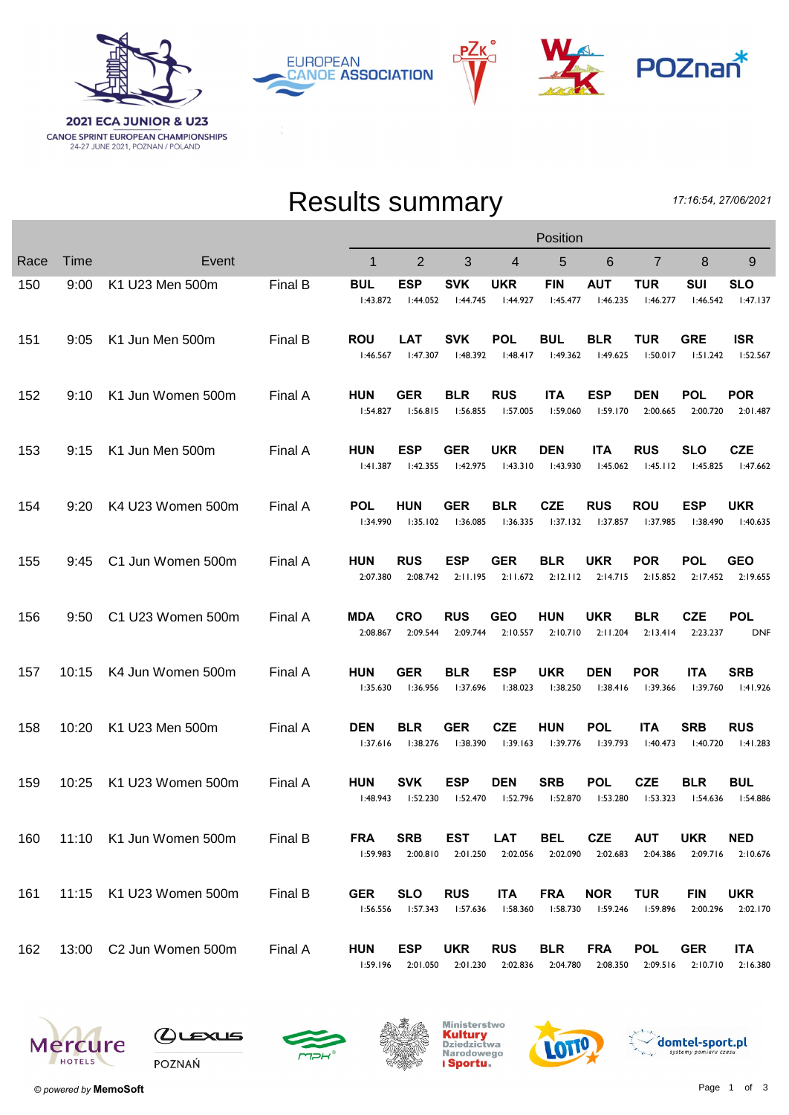

РΖк **EUROPEAN CANOE ASSOCIATION** 



## Results summary

17:16:54, 27/06/2021

|      |             |                         | Position |                        |                        |                        |                        |                        |                        |                        |                        |                          |
|------|-------------|-------------------------|----------|------------------------|------------------------|------------------------|------------------------|------------------------|------------------------|------------------------|------------------------|--------------------------|
| Race | <b>Time</b> | Event                   |          | 1                      | $\overline{2}$         | 3                      | 4                      | 5                      | 6                      | $\overline{7}$         | 8                      | 9                        |
| 150  | 9:00        | K1 U23 Men 500m         | Final B  | <b>BUL</b><br>1:43.872 | <b>ESP</b><br>1:44.052 | <b>SVK</b><br>1:44.745 | UKR<br>1:44.927        | <b>FIN</b><br>1:45.477 | <b>AUT</b><br>1:46.235 | TUR<br>1:46.277        | SUI<br>1:46.542        | <b>SLO</b><br>1:47.137   |
| 151  | 9:05        | K1 Jun Men 500m         | Final B  | <b>ROU</b><br>1:46.567 | <b>LAT</b><br>1:47.307 | <b>SVK</b><br>1:48.392 | <b>POL</b><br>1:48.417 | <b>BUL</b><br>1:49.362 | <b>BLR</b><br>1:49.625 | <b>TUR</b><br>1:50.017 | <b>GRE</b><br>1:51.242 | <b>ISR</b><br>1:52.567   |
| 152  | 9:10        | K1 Jun Women 500m       | Final A  | <b>HUN</b><br>1:54.827 | GER<br>1:56.815        | <b>BLR</b><br>I:56.855 | <b>RUS</b><br>1:57.005 | <b>ITA</b><br>1:59.060 | <b>ESP</b><br>1:59.170 | <b>DEN</b><br>2:00.665 | <b>POL</b><br>2:00.720 | <b>POR</b><br>2:01.487   |
| 153  | 9:15        | K1 Jun Men 500m         | Final A  | <b>HUN</b><br>1:41.387 | <b>ESP</b><br>1:42.355 | <b>GER</b><br>1:42.975 | <b>UKR</b><br>1:43.310 | <b>DEN</b><br>1:43.930 | <b>ITA</b><br>1:45.062 | <b>RUS</b><br>1:45.112 | <b>SLO</b><br>1:45.825 | <b>CZE</b><br>1:47.662   |
| 154  | 9:20        | K4 U23 Women 500m       | Final A  | <b>POL</b><br>1:34.990 | HUN<br>1:35.102        | <b>GER</b><br>I:36.085 | <b>BLR</b><br>1:36.335 | <b>CZE</b><br>1:37.132 | <b>RUS</b><br>1:37.857 | <b>ROU</b><br>1:37.985 | <b>ESP</b><br>1:38.490 | <b>UKR</b><br>1:40.635   |
| 155  | 9:45        | C1 Jun Women 500m       | Final A  | <b>HUN</b><br>2:07.380 | <b>RUS</b><br>2:08.742 | <b>ESP</b><br>2:11.195 | <b>GER</b><br>2:11.672 | <b>BLR</b><br>2:12.112 | <b>UKR</b><br>2:14.715 | <b>POR</b><br>2:15.852 | <b>POL</b><br>2:17.452 | <b>GEO</b><br>2:19.655   |
| 156  | 9:50        | C1 U23 Women 500m       | Final A  | MDA<br>2:08.867        | <b>CRO</b><br>2:09.544 | <b>RUS</b><br>2:09.744 | <b>GEO</b><br>2:10.557 | HUN<br>2:10.710        | <b>UKR</b><br>2:11.204 | <b>BLR</b><br>2:13.414 | <b>CZE</b><br>2:23.237 | <b>POL</b><br><b>DNF</b> |
| 157  | 10:15       | K4 Jun Women 500m       | Final A  | <b>HUN</b><br>1:35.630 | GER<br>1:36.956        | <b>BLR</b><br>1:37.696 | <b>ESP</b><br>1:38.023 | <b>UKR</b><br>1:38.250 | <b>DEN</b><br>1:38.416 | <b>POR</b><br>1:39.366 | <b>ITA</b><br>1:39.760 | <b>SRB</b><br>1:41.926   |
| 158  | 10:20       | K1 U23 Men 500m         | Final A  | <b>DEN</b><br>1:37.616 | <b>BLR</b><br>1:38.276 | <b>GER</b><br>1:38.390 | <b>CZE</b><br>1:39.163 | <b>HUN</b><br>1:39.776 | <b>POL</b><br>l:39.793 | <b>ITA</b><br>1:40.473 | <b>SRB</b><br>1:40.720 | <b>RUS</b><br>1:41.283   |
| 159  | 10:25       | K1 U23 Women 500m       | Final A  | <b>HUN</b><br>1:48.943 | <b>SVK</b><br>1:52.230 | <b>ESP</b><br>1:52.470 | <b>DEN</b><br>1:52.796 | <b>SRB</b><br>1:52.870 | <b>POL</b><br>1:53.280 | <b>CZE</b><br>1:53.323 | <b>BLR</b><br>1:54.636 | <b>BUL</b><br>I:54.886   |
| 160  |             | 11:10 K1 Jun Women 500m | Final B  | <b>FRA</b><br>1:59.983 | <b>SRB</b><br>2:00.810 | <b>EST</b><br>2:01.250 | LAT<br>2:02.056        | <b>BEL</b><br>2:02.090 | <b>CZE</b><br>2:02.683 | <b>AUT</b><br>2:04.386 | <b>UKR</b><br>2:09.716 | <b>NED</b><br>2:10.676   |
| 161  |             | 11:15 K1 U23 Women 500m | Final B  | <b>GER</b><br>1:56.556 | <b>SLO</b><br>l:57.343 | <b>RUS</b><br>1:57.636 | <b>ITA</b><br>1:58.360 | <b>FRA</b><br>l:58.730 | <b>NOR</b><br>l:59.246 | <b>TUR</b><br>I:59.896 | <b>FIN</b><br>2:00.296 | <b>UKR</b><br>2:02.170   |
| 162  |             | 13:00 C2 Jun Women 500m | Final A  | <b>HUN</b><br>1:59.196 | <b>ESP</b><br>2:01.050 | <b>UKR</b><br>2:01.230 | <b>RUS</b><br>2:02.836 | <b>BLR</b><br>2:04.780 | <b>FRA</b><br>2:08.350 | <b>POL</b><br>2:09.516 | <b>GER</b><br>2:10.710 | <b>ITA</b><br>2:16.380   |











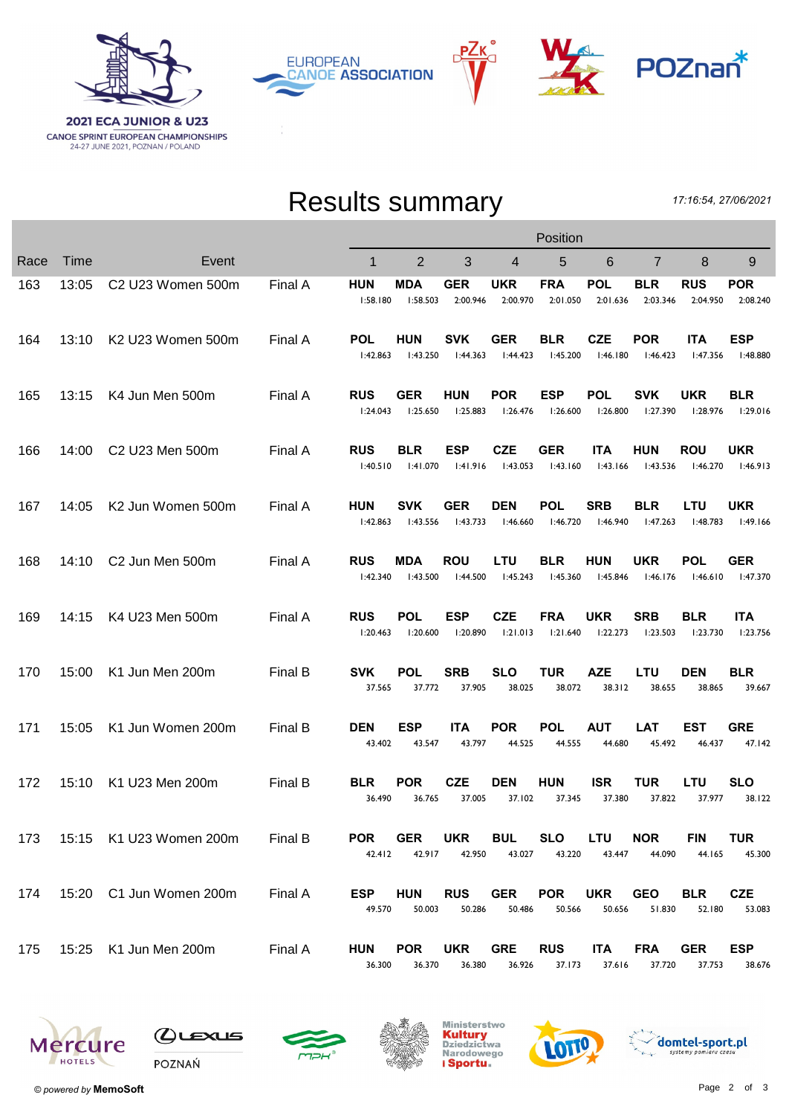

РΖк **EUROPEAN CANOE ASSOCIATION** 



## Results summary

17:16:54, 27/06/2021

|      |       |                                           |         | Position               |                        |                        |                        |                        |                        |                        |                        |                        |
|------|-------|-------------------------------------------|---------|------------------------|------------------------|------------------------|------------------------|------------------------|------------------------|------------------------|------------------------|------------------------|
| Race | Time  | Event                                     |         | 1                      | 2                      | 3                      | $\overline{4}$         | 5                      | 6                      | $\overline{7}$         | 8                      | 9                      |
| 163  | 13:05 | C <sub>2</sub> U <sub>23</sub> Women 500m | Final A | <b>HUN</b><br>1:58.180 | MDA<br>1:58.503        | <b>GER</b><br>2:00.946 | <b>UKR</b><br>2:00.970 | <b>FRA</b><br>2:01.050 | <b>POL</b><br>2:01.636 | <b>BLR</b><br>2:03.346 | <b>RUS</b><br>2:04.950 | <b>POR</b><br>2:08.240 |
| 164  | 13:10 | K2 U23 Women 500m                         | Final A | <b>POL</b><br>1:42.863 | <b>HUN</b><br>1:43.250 | <b>SVK</b><br>1:44.363 | <b>GER</b><br>1:44.423 | <b>BLR</b><br>1:45.200 | <b>CZE</b><br>1:46.180 | <b>POR</b><br>1:46.423 | <b>ITA</b><br>1:47.356 | <b>ESP</b><br>l:48.880 |
| 165  | 13:15 | K4 Jun Men 500m                           | Final A | <b>RUS</b><br>1:24.043 | <b>GER</b><br>I:25.650 | <b>HUN</b><br>1:25.883 | <b>POR</b><br>1:26.476 | <b>ESP</b><br>1:26.600 | <b>POL</b><br>1:26.800 | <b>SVK</b><br>1:27.390 | <b>UKR</b><br>1:28.976 | <b>BLR</b><br>1:29.016 |
| 166  | 14:00 | C2 U23 Men 500m                           | Final A | <b>RUS</b><br>1:40.510 | <b>BLR</b><br>1:41.070 | <b>ESP</b><br>1:41.916 | <b>CZE</b><br>1:43.053 | <b>GER</b><br>1:43.160 | <b>ITA</b><br>1:43.166 | <b>HUN</b><br>1:43.536 | <b>ROU</b><br>1:46.270 | <b>UKR</b><br>1:46.913 |
| 167  | 14:05 | K2 Jun Women 500m                         | Final A | <b>HUN</b><br>1:42.863 | <b>SVK</b><br>1:43.556 | <b>GER</b><br>1:43.733 | <b>DEN</b><br>1:46.660 | <b>POL</b><br>1:46.720 | <b>SRB</b><br>I:46.940 | <b>BLR</b><br>1:47.263 | <b>LTU</b><br>I:48.783 | <b>UKR</b><br>1:49.166 |
| 168  | 14:10 | C2 Jun Men 500m                           | Final A | <b>RUS</b><br>1:42.340 | MDA<br>1:43.500        | <b>ROU</b><br>1:44.500 | LTU<br>1:45.243        | <b>BLR</b><br>1:45.360 | <b>HUN</b><br>l:45.846 | <b>UKR</b><br>1:46.176 | <b>POL</b><br>1:46.610 | <b>GER</b><br>1:47.370 |
| 169  | 14:15 | K4 U23 Men 500m                           | Final A | <b>RUS</b><br>1:20.463 | <b>POL</b><br>1:20.600 | <b>ESP</b><br>1:20.890 | <b>CZE</b><br>1:21.013 | <b>FRA</b><br>1:21.640 | <b>UKR</b><br>1:22.273 | <b>SRB</b><br>1:23.503 | <b>BLR</b><br>1:23.730 | <b>ITA</b><br>1:23.756 |
| 170  | 15:00 | K1 Jun Men 200m                           | Final B | <b>SVK</b><br>37.565   | <b>POL</b><br>37.772   | <b>SRB</b><br>37.905   | <b>SLO</b><br>38.025   | <b>TUR</b><br>38.072   | AZE<br>38.312          | <b>LTU</b><br>38.655   | <b>DEN</b><br>38.865   | <b>BLR</b><br>39.667   |
| 171  | 15:05 | K1 Jun Women 200m                         | Final B | <b>DEN</b><br>43.402   | <b>ESP</b><br>43.547   | <b>ITA</b><br>43.797   | <b>POR</b><br>44.525   | <b>POL</b><br>44.555   | <b>AUT</b><br>44.680   | <b>LAT</b><br>45.492   | <b>EST</b><br>46.437   | <b>GRE</b><br>47.142   |
| 172  | 15:10 | K1 U23 Men 200m                           | Final B | <b>BLR</b><br>36.490   | <b>POR</b><br>36.765   | <b>CZE</b><br>37.005   | <b>DEN</b><br>37.102   | <b>HUN</b><br>37.345   | <b>ISR</b><br>37.380   | <b>TUR</b><br>37.822   | LTU<br>37.977          | <b>SLO</b><br>38.122   |
| 173  |       | 15:15 K1 U23 Women 200m                   | Final B | <b>POR</b><br>42.412   | <b>GER</b><br>42.917   | <b>UKR</b><br>42.950   | <b>BUL</b><br>43.027   | <b>SLO</b><br>43.220   | <b>LTU</b><br>43.447   | <b>NOR</b><br>44.090   | <b>FIN</b><br>44.165   | <b>TUR</b><br>45.300   |
| 174  |       | 15:20 C1 Jun Women 200m                   | Final A | <b>ESP</b><br>49.570   | <b>HUN</b><br>50.003   | <b>RUS</b><br>50.286   | <b>GER</b><br>50.486   | <b>POR</b><br>50.566   | <b>UKR</b><br>50.656   | <b>GEO</b><br>51.830   | <b>BLR</b><br>52.180   | <b>CZE</b><br>53.083   |
| 175  |       | 15:25 K1 Jun Men 200m                     | Final A | <b>HUN</b><br>36.300   | <b>POR</b><br>36.370   | <b>UKR</b><br>36.380   | <b>GRE</b><br>36.926   | <b>RUS</b><br>37.173   | <b>ITA</b><br>37.616   | <b>FRA</b><br>37.720   | <b>GER</b><br>37.753   | <b>ESP</b><br>38.676   |